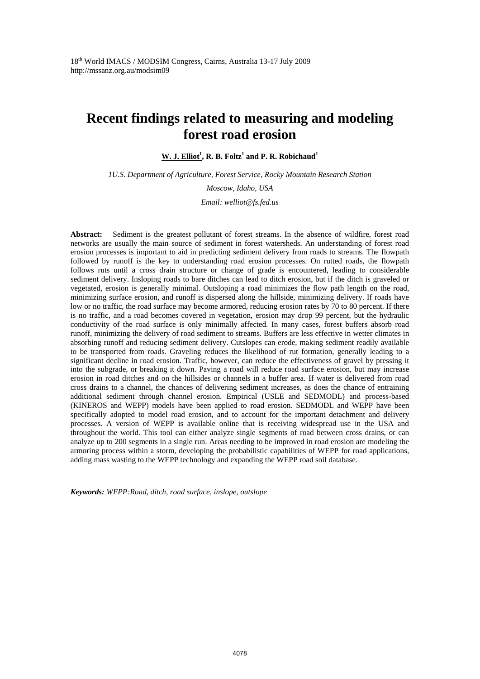$\underline{\textbf{W}}$ . J. Elliot<sup>1</sup>, R. B. Foltz<sup>1</sup> and P. R. Robichaud<sup>1</sup>

*1U.S. Department of Agriculture, Forest Service, Rocky Mountain Research Station* 

*Moscow, Idaho, USA Email: welliot@fs.fed.us* 

**Abstract:** Sediment is the greatest pollutant of forest streams. In the absence of wildfire, forest road networks are usually the main source of sediment in forest watersheds. An understanding of forest road erosion processes is important to aid in predicting sediment delivery from roads to streams. The flowpath followed by runoff is the key to understanding road erosion processes. On rutted roads, the flowpath follows ruts until a cross drain structure or change of grade is encountered, leading to considerable sediment delivery. Insloping roads to bare ditches can lead to ditch erosion, but if the ditch is graveled or vegetated, erosion is generally minimal. Outsloping a road minimizes the flow path length on the road, minimizing surface erosion, and runoff is dispersed along the hillside, minimizing delivery. If roads have low or no traffic, the road surface may become armored, reducing erosion rates by 70 to 80 percent. If there is no traffic, and a road becomes covered in vegetation, erosion may drop 99 percent, but the hydraulic conductivity of the road surface is only minimally affected. In many cases, forest buffers absorb road runoff, minimizing the delivery of road sediment to streams. Buffers are less effective in wetter climates in absorbing runoff and reducing sediment delivery. Cutslopes can erode, making sediment readily available to be transported from roads. Graveling reduces the likelihood of rut formation, generally leading to a significant decline in road erosion. Traffic, however, can reduce the effectiveness of gravel by pressing it into the subgrade, or breaking it down. Paving a road will reduce road surface erosion, but may increase erosion in road ditches and on the hillsides or channels in a buffer area. If water is delivered from road cross drains to a channel, the chances of delivering sediment increases, as does the chance of entraining additional sediment through channel erosion. Empirical (USLE and SEDMODL) and process-based (KINEROS and WEPP) models have been applied to road erosion. SEDMODL and WEPP have been specifically adopted to model road erosion, and to account for the important detachment and delivery processes. A version of WEPP is available online that is receiving widespread use in the USA and throughout the world. This tool can either analyze single segments of road between cross drains, or can analyze up to 200 segments in a single run. Areas needing to be improved in road erosion are modeling the armoring process within a storm, developing the probabilistic capabilities of WEPP for road applications, adding mass wasting to the WEPP technology and expanding the WEPP road soil database.

*Keywords: WEPP:Road, ditch, road surface, inslope, outslope*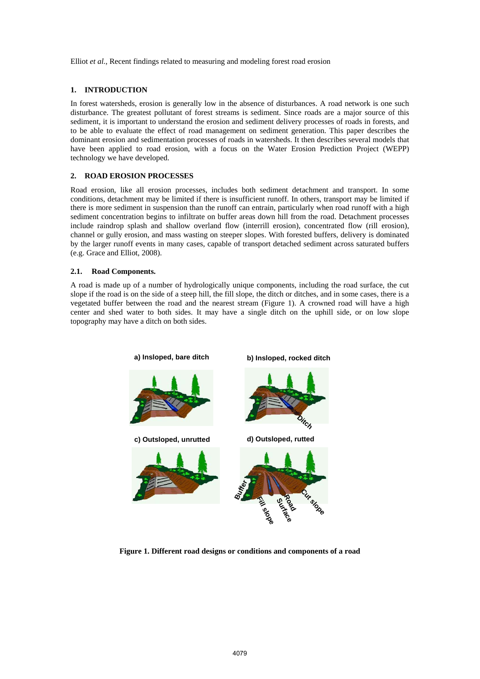# **1. INTRODUCTION**

In forest watersheds, erosion is generally low in the absence of disturbances. A road network is one such disturbance. The greatest pollutant of forest streams is sediment. Since roads are a major source of this sediment, it is important to understand the erosion and sediment delivery processes of roads in forests, and to be able to evaluate the effect of road management on sediment generation. This paper describes the dominant erosion and sedimentation processes of roads in watersheds. It then describes several models that have been applied to road erosion, with a focus on the Water Erosion Prediction Project (WEPP) technology we have developed.

# **2. ROAD EROSION PROCESSES**

Road erosion, like all erosion processes, includes both sediment detachment and transport. In some conditions, detachment may be limited if there is insufficient runoff. In others, transport may be limited if there is more sediment in suspension than the runoff can entrain, particularly when road runoff with a high sediment concentration begins to infiltrate on buffer areas down hill from the road. Detachment processes include raindrop splash and shallow overland flow (interrill erosion), concentrated flow (rill erosion), channel or gully erosion, and mass wasting on steeper slopes. With forested buffers, delivery is dominated by the larger runoff events in many cases, capable of transport detached sediment across saturated buffers (e.g. Grace and Elliot, 2008).

# **2.1. Road Components.**

A road is made up of a number of hydrologically unique components, including the road surface, the cut slope if the road is on the side of a steep hill, the fill slope, the ditch or ditches, and in some cases, there is a vegetated buffer between the road and the nearest stream (Figure 1). A crowned road will have a high center and shed water to both sides. It may have a single ditch on the uphill side, or on low slope topography may have a ditch on both sides.



**Figure 1. Different road designs or conditions and components of a road**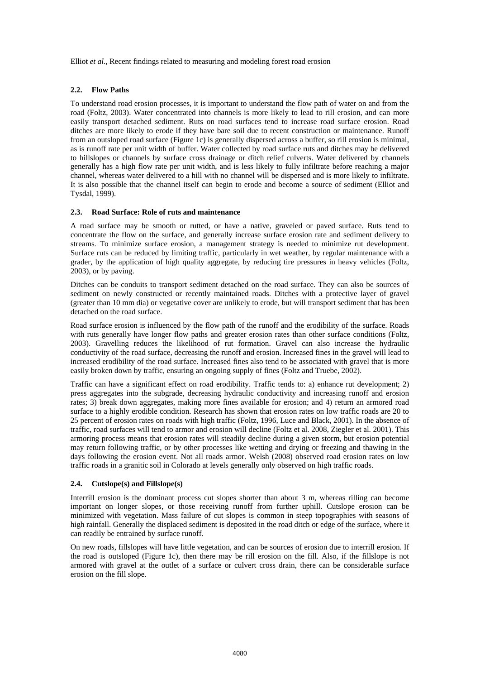# **2.2. Flow Paths**

To understand road erosion processes, it is important to understand the flow path of water on and from the road (Foltz, 2003). Water concentrated into channels is more likely to lead to rill erosion, and can more easily transport detached sediment. Ruts on road surfaces tend to increase road surface erosion. Road ditches are more likely to erode if they have bare soil due to recent construction or maintenance. Runoff from an outsloped road surface (Figure 1c) is generally dispersed across a buffer, so rill erosion is minimal, as is runoff rate per unit width of buffer. Water collected by road surface ruts and ditches may be delivered to hillslopes or channels by surface cross drainage or ditch relief culverts. Water delivered by channels generally has a high flow rate per unit width, and is less likely to fully infiltrate before reaching a major channel, whereas water delivered to a hill with no channel will be dispersed and is more likely to infiltrate. It is also possible that the channel itself can begin to erode and become a source of sediment (Elliot and Tysdal, 1999).

#### **2.3. Road Surface: Role of ruts and maintenance**

A road surface may be smooth or rutted, or have a native, graveled or paved surface. Ruts tend to concentrate the flow on the surface, and generally increase surface erosion rate and sediment delivery to streams. To minimize surface erosion, a management strategy is needed to minimize rut development. Surface ruts can be reduced by limiting traffic, particularly in wet weather, by regular maintenance with a grader, by the application of high quality aggregate, by reducing tire pressures in heavy vehicles (Foltz, 2003), or by paving.

Ditches can be conduits to transport sediment detached on the road surface. They can also be sources of sediment on newly constructed or recently maintained roads. Ditches with a protective layer of gravel (greater than 10 mm dia) or vegetative cover are unlikely to erode, but will transport sediment that has been detached on the road surface.

Road surface erosion is influenced by the flow path of the runoff and the erodibility of the surface. Roads with ruts generally have longer flow paths and greater erosion rates than other surface conditions (Foltz, 2003). Gravelling reduces the likelihood of rut formation. Gravel can also increase the hydraulic conductivity of the road surface, decreasing the runoff and erosion. Increased fines in the gravel will lead to increased erodibility of the road surface. Increased fines also tend to be associated with gravel that is more easily broken down by traffic, ensuring an ongoing supply of fines (Foltz and Truebe, 2002).

Traffic can have a significant effect on road erodibility. Traffic tends to: a) enhance rut development; 2) press aggregates into the subgrade, decreasing hydraulic conductivity and increasing runoff and erosion rates; 3) break down aggregates, making more fines available for erosion; and 4) return an armored road surface to a highly erodible condition. Research has shown that erosion rates on low traffic roads are 20 to 25 percent of erosion rates on roads with high traffic (Foltz, 1996, Luce and Black, 2001). In the absence of traffic, road surfaces will tend to armor and erosion will decline (Foltz et al. 2008, Ziegler et al. 2001). This armoring process means that erosion rates will steadily decline during a given storm, but erosion potential may return following traffic, or by other processes like wetting and drying or freezing and thawing in the days following the erosion event. Not all roads armor. Welsh (2008) observed road erosion rates on low traffic roads in a granitic soil in Colorado at levels generally only observed on high traffic roads.

# **2.4. Cutslope(s) and Fillslope(s)**

Interrill erosion is the dominant process cut slopes shorter than about 3 m, whereas rilling can become important on longer slopes, or those receiving runoff from further uphill. Cutslope erosion can be minimized with vegetation. Mass failure of cut slopes is common in steep topographies with seasons of high rainfall. Generally the displaced sediment is deposited in the road ditch or edge of the surface, where it can readily be entrained by surface runoff.

On new roads, fillslopes will have little vegetation, and can be sources of erosion due to interrill erosion. If the road is outsloped (Figure 1c), then there may be rill erosion on the fill. Also, if the fillslope is not armored with gravel at the outlet of a surface or culvert cross drain, there can be considerable surface erosion on the fill slope.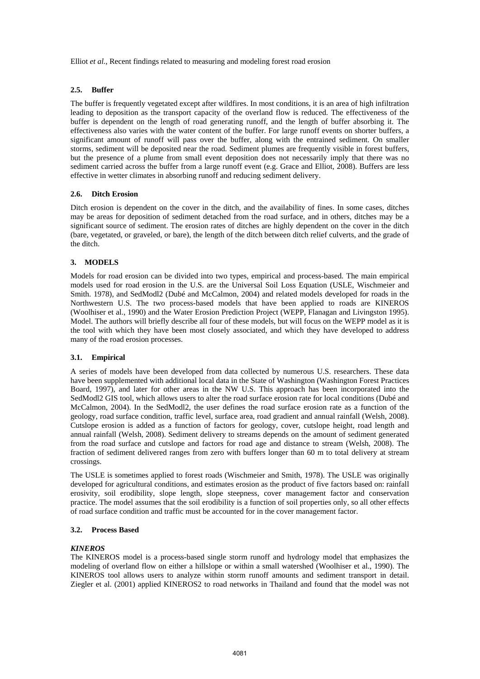# **2.5. Buffer**

The buffer is frequently vegetated except after wildfires. In most conditions, it is an area of high infiltration leading to deposition as the transport capacity of the overland flow is reduced. The effectiveness of the buffer is dependent on the length of road generating runoff, and the length of buffer absorbing it. The effectiveness also varies with the water content of the buffer. For large runoff events on shorter buffers, a significant amount of runoff will pass over the buffer, along with the entrained sediment. On smaller storms, sediment will be deposited near the road. Sediment plumes are frequently visible in forest buffers, but the presence of a plume from small event deposition does not necessarily imply that there was no sediment carried across the buffer from a large runoff event (e.g. Grace and Elliot, 2008). Buffers are less effective in wetter climates in absorbing runoff and reducing sediment delivery.

# **2.6. Ditch Erosion**

Ditch erosion is dependent on the cover in the ditch, and the availability of fines. In some cases, ditches may be areas for deposition of sediment detached from the road surface, and in others, ditches may be a significant source of sediment. The erosion rates of ditches are highly dependent on the cover in the ditch (bare, vegetated, or graveled, or bare), the length of the ditch between ditch relief culverts, and the grade of the ditch.

# **3. MODELS**

Models for road erosion can be divided into two types, empirical and process-based. The main empirical models used for road erosion in the U.S. are the Universal Soil Loss Equation (USLE, Wischmeier and Smith. 1978), and SedModl2 (Dubé and McCalmon, 2004) and related models developed for roads in the Northwestern U.S. The two process-based models that have been applied to roads are KINEROS (Woolhiser et al., 1990) and the Water Erosion Prediction Project (WEPP, Flanagan and Livingston 1995). Model. The authors will briefly describe all four of these models, but will focus on the WEPP model as it is the tool with which they have been most closely associated, and which they have developed to address many of the road erosion processes.

# **3.1. Empirical**

A series of models have been developed from data collected by numerous U.S. researchers. These data have been supplemented with additional local data in the State of Washington (Washington Forest Practices Board, 1997), and later for other areas in the NW U.S. This approach has been incorporated into the SedModl2 GIS tool, which allows users to alter the road surface erosion rate for local conditions (Dubé and McCalmon, 2004). In the SedModl2, the user defines the road surface erosion rate as a function of the geology, road surface condition, traffic level, surface area, road gradient and annual rainfall (Welsh, 2008). Cutslope erosion is added as a function of factors for geology, cover, cutslope height, road length and annual rainfall (Welsh, 2008). Sediment delivery to streams depends on the amount of sediment generated from the road surface and cutslope and factors for road age and distance to stream (Welsh, 2008). The fraction of sediment delivered ranges from zero with buffers longer than 60 m to total delivery at stream crossings.

The USLE is sometimes applied to forest roads (Wischmeier and Smith, 1978). The USLE was originally developed for agricultural conditions, and estimates erosion as the product of five factors based on: rainfall erosivity, soil erodibility, slope length, slope steepness, cover management factor and conservation practice. The model assumes that the soil erodibility is a function of soil properties only, so all other effects of road surface condition and traffic must be accounted for in the cover management factor.

#### **3.2. Process Based**

#### *KINEROS*

The KINEROS model is a process-based single storm runoff and hydrology model that emphasizes the modeling of overland flow on either a hillslope or within a small watershed (Woolhiser et al., 1990). The KINEROS tool allows users to analyze within storm runoff amounts and sediment transport in detail. Ziegler et al. (2001) applied KINEROS2 to road networks in Thailand and found that the model was not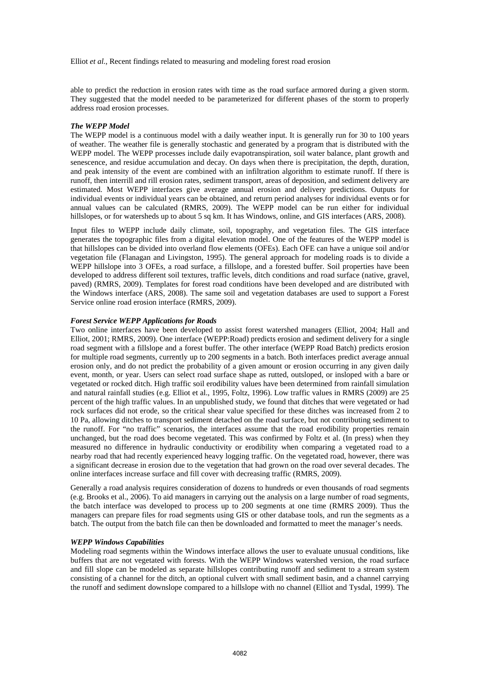able to predict the reduction in erosion rates with time as the road surface armored during a given storm. They suggested that the model needed to be parameterized for different phases of the storm to properly address road erosion processes.

#### *The WEPP Model*

The WEPP model is a continuous model with a daily weather input. It is generally run for 30 to 100 years of weather. The weather file is generally stochastic and generated by a program that is distributed with the WEPP model. The WEPP processes include daily evapotranspiration, soil water balance, plant growth and senescence, and residue accumulation and decay. On days when there is precipitation, the depth, duration, and peak intensity of the event are combined with an infiltration algorithm to estimate runoff. If there is runoff, then interrill and rill erosion rates, sediment transport, areas of deposition, and sediment delivery are estimated. Most WEPP interfaces give average annual erosion and delivery predictions. Outputs for individual events or individual years can be obtained, and return period analyses for individual events or for annual values can be calculated (RMRS, 2009). The WEPP model can be run either for individual hillslopes, or for watersheds up to about 5 sq km. It has Windows, online, and GIS interfaces (ARS, 2008).

Input files to WEPP include daily climate, soil, topography, and vegetation files. The GIS interface generates the topographic files from a digital elevation model. One of the features of the WEPP model is that hillslopes can be divided into overland flow elements (OFEs). Each OFE can have a unique soil and/or vegetation file (Flanagan and Livingston, 1995). The general approach for modeling roads is to divide a WEPP hillslope into 3 OFEs, a road surface, a fillslope, and a forested buffer. Soil properties have been developed to address different soil textures, traffic levels, ditch conditions and road surface (native, gravel, paved) (RMRS, 2009). Templates for forest road conditions have been developed and are distributed with the Windows interface (ARS, 2008). The same soil and vegetation databases are used to support a Forest Service online road erosion interface (RMRS, 2009).

#### *Forest Service WEPP Applications for Roads*

Two online interfaces have been developed to assist forest watershed managers (Elliot, 2004; Hall and Elliot, 2001; RMRS, 2009). One interface (WEPP:Road) predicts erosion and sediment delivery for a single road segment with a fillslope and a forest buffer. The other interface (WEPP Road Batch) predicts erosion for multiple road segments, currently up to 200 segments in a batch. Both interfaces predict average annual erosion only, and do not predict the probability of a given amount or erosion occurring in any given daily event, month, or year. Users can select road surface shape as rutted, outsloped, or insloped with a bare or vegetated or rocked ditch. High traffic soil erodibility values have been determined from rainfall simulation and natural rainfall studies (e.g. Elliot et al., 1995, Foltz, 1996). Low traffic values in RMRS (2009) are 25 percent of the high traffic values. In an unpublished study, we found that ditches that were vegetated or had rock surfaces did not erode, so the critical shear value specified for these ditches was increased from 2 to 10 Pa, allowing ditches to transport sediment detached on the road surface, but not contributing sediment to the runoff. For "no traffic" scenarios, the interfaces assume that the road erodibility properties remain unchanged, but the road does become vegetated. This was confirmed by Foltz et al. (In press) when they measured no difference in hydraulic conductivity or erodibility when comparing a vegetated road to a nearby road that had recently experienced heavy logging traffic. On the vegetated road, however, there was a significant decrease in erosion due to the vegetation that had grown on the road over several decades. The online interfaces increase surface and fill cover with decreasing traffic (RMRS, 2009).

Generally a road analysis requires consideration of dozens to hundreds or even thousands of road segments (e.g. Brooks et al., 2006). To aid managers in carrying out the analysis on a large number of road segments, the batch interface was developed to process up to 200 segments at one time (RMRS 2009). Thus the managers can prepare files for road segments using GIS or other database tools, and run the segments as a batch. The output from the batch file can then be downloaded and formatted to meet the manager's needs.

#### *WEPP Windows Capabilities*

Modeling road segments within the Windows interface allows the user to evaluate unusual conditions, like buffers that are not vegetated with forests. With the WEPP Windows watershed version, the road surface and fill slope can be modeled as separate hillslopes contributing runoff and sediment to a stream system consisting of a channel for the ditch, an optional culvert with small sediment basin, and a channel carrying the runoff and sediment downslope compared to a hillslope with no channel (Elliot and Tysdal, 1999). The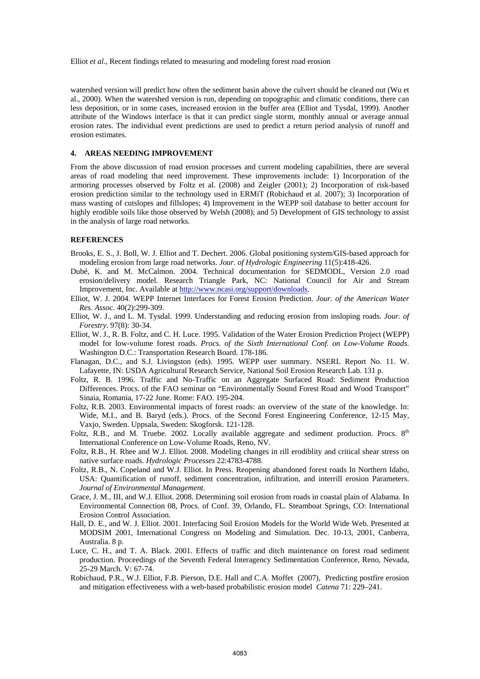watershed version will predict how often the sediment basin above the culvert should be cleaned out (Wu et al., 2000). When the watershed version is run, depending on topographic and climatic conditions, there can less deposition, or in some cases, increased erosion in the buffer area (Elliot and Tysdal, 1999). Another attribute of the Windows interface is that it can predict single storm, monthly annual or average annual erosion rates. The individual event predictions are used to predict a return period analysis of runoff and erosion estimates.

#### **4. AREAS NEEDING IMPROVEMENT**

From the above discussion of road erosion processes and current modeling capabilities, there are several areas of road modeling that need improvement. These improvements include: 1) Incorporation of the armoring processes observed by Foltz et al. (2008) and Zeigler (2001); 2) Incorporation of risk-based erosion prediction similar to the technology used in ERMiT (Robichaud et al. 2007); 3) Incorporation of mass wasting of cutslopes and fillslopes; 4) Improvement in the WEPP soil database to better account for highly erodible soils like those observed by Welsh (2008); and 5) Development of GIS technology to assist in the analysis of large road networks.

#### **REFERENCES**

- Brooks, E. S., J. Boll, W. J. Elliot and T. Dechert. 2006. Global positioning system/GIS-based approach for modeling erosion from large road networks. *Jour. of Hydrologic Engineering* 11(5):418-426.
- Dubé, K. and M. McCalmon. 2004. Technical documentation for SEDMODL, Version 2.0 road erosion/delivery model. Research Triangle Park, NC: National Council for Air and Stream Improvement, Inc. Available at http://www.ncasi.org/support/downloads.
- Elliot, W. J. 2004. WEPP Internet Interfaces for Forest Erosion Prediction. *Jour. of the American Water Res. Assoc*. 40(2):299-309.
- Elliot, W. J., and L. M. Tysdal. 1999. Understanding and reducing erosion from insloping roads. *Jour. of Forestry.* 97(8): 30-34.
- Elliot, W. J., R. B. Foltz, and C. H. Luce. 1995. Validation of the Water Erosion Prediction Project (WEPP) model for low-volume forest roads. *Procs. of the Sixth International Conf. on Low-Volume Roads*. Washington D.C.: Transportation Research Board. 178-186.
- Flanagan, D.C., and S.J. Livingston (eds). 1995. WEPP user summary. NSERL Report No. 11. W. Lafayette, IN: USDA Agricultural Research Service, National Soil Erosion Research Lab. 131 p.
- Foltz, R. B. 1996. Traffic and No-Traffic on an Aggregate Surfaced Road: Sediment Production Differences. Procs. of the FAO seminar on "Environmentally Sound Forest Road and Wood Transport" Sinaia, Romania, 17-22 June. Rome: FAO. 195-204.
- Foltz, R.B. 2003. Environmental impacts of forest roads: an overview of the state of the knowledge. In: Wide, M.I., and B. Baryd (eds.). Procs. of the Second Forest Engineering Conference, 12-15 May, Vaxjo, Sweden. Uppsala, Sweden: Skogforsk. 121-128.
- Foltz, R.B., and M. Truebe. 2002. Locally available aggregate and sediment production. Procs. 8<sup>th</sup> International Conference on Low-Volume Roads, Reno, NV.
- Foltz, R.B., H. Rhee and W.J. Elliot. 2008. Modeling changes in rill erodiblity and critical shear stress on native surface roads. *Hydrologic Processes* 22:4783-4788.
- Foltz, R.B., N. Copeland and W.J. Elliot. In Press. Reopening abandoned forest roads In Northern Idaho, USA: Quantification of runoff, sediment concentration, infiltration, and interrill erosion Parameters. *Journal of Environmental Management*.
- Grace, J. M., III, and W.J. Elliot. 2008. Determining soil erosion from roads in coastal plain of Alabama. In Environmental Connection 08, Procs. of Conf. 39, Orlando, FL. Steamboat Springs, CO: International Erosion Control Association.
- Hall, D. E., and W. J. Elliot. 2001. Interfacing Soil Erosion Models for the World Wide Web. Presented at MODSIM 2001, International Congress on Modeling and Simulation. Dec. 10-13, 2001, Canberra, Australia. 8 p.
- Luce, C. H., and T. A. Black. 2001. Effects of traffic and ditch maintenance on forest road sediment production. Proceedings of the Seventh Federal Interagency Sedimentation Conference, Reno, Nevada, 25-29 March. V: 67-74.
- Robichaud, P.R., W.J. Elliot, F.B. Pierson, D.E. Hall and C.A. Moffet (2007), Predicting postfire erosion and mitigation effectiveness with a web-based probabilistic erosion model *Catena* 71: 229–241.